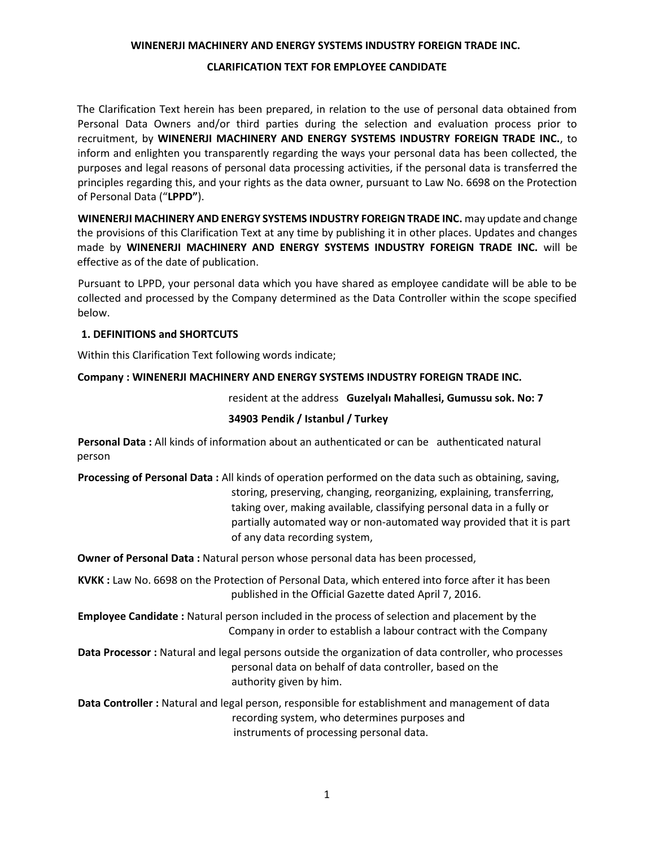#### **WINENERJI MACHINERY AND ENERGY SYSTEMS INDUSTRY FOREIGN TRADE INC.**

#### **CLARIFICATION TEXT FOR EMPLOYEE CANDIDATE**

The Clarification Text herein has been prepared, in relation to the use of personal data obtained from Personal Data Owners and/or third parties during the selection and evaluation process prior to recruitment, by **WINENERJI MACHINERY AND ENERGY SYSTEMS INDUSTRY FOREIGN TRADE INC.**, to inform and enlighten you transparently regarding the ways your personal data has been collected, the purposes and legal reasons of personal data processing activities, if the personal data is transferred the principles regarding this, and your rights as the data owner, pursuant to Law No. 6698 on the Protection of Personal Data ("**LPPD"**).

**WINENERJI MACHINERY AND ENERGY SYSTEMS INDUSTRY FOREIGN TRADE INC.** may update and change the provisions of this Clarification Text at any time by publishing it in other places. Updates and changes made by **WINENERJI MACHINERY AND ENERGY SYSTEMS INDUSTRY FOREIGN TRADE INC.** will be effective as of the date of publication.

Pursuant to LPPD, your personal data which you have shared as employee candidate will be able to be collected and processed by the Company determined as the Data Controller within the scope specified below.

# **1. DEFINITIONS and SHORTCUTS**

Within this Clarification Text following words indicate;

#### **Company : WINENERJI MACHINERY AND ENERGY SYSTEMS INDUSTRY FOREIGN TRADE INC.**

resident at the address **Guzelyalı Mahallesi, Gumussu sok. No: 7** 

#### **34903 Pendik / Istanbul / Turkey**

**Personal Data :** All kinds of information about an authenticated or can be authenticated natural person

**Processing of Personal Data :** All kinds of operation performed on the data such as obtaining, saving, storing, preserving, changing, reorganizing, explaining, transferring, taking over, making available, classifying personal data in a fully or partially automated way or non-automated way provided that it is part of any data recording system,

**Owner of Personal Data :** Natural person whose personal data has been processed,

**KVKK :** Law No. 6698 on the Protection of Personal Data, which entered into force after it has been published in the Official Gazette dated April 7, 2016.

**Employee Candidate :** Natural person included in the process of selection and placement by the Company in order to establish a labour contract with the Company

**Data Processor :** Natural and legal persons outside the organization of data controller, who processes personal data on behalf of data controller, based on the authority given by him.

**Data Controller :** Natural and legal person, responsible for establishment and management of data recording system, who determines purposes and instruments of processing personal data.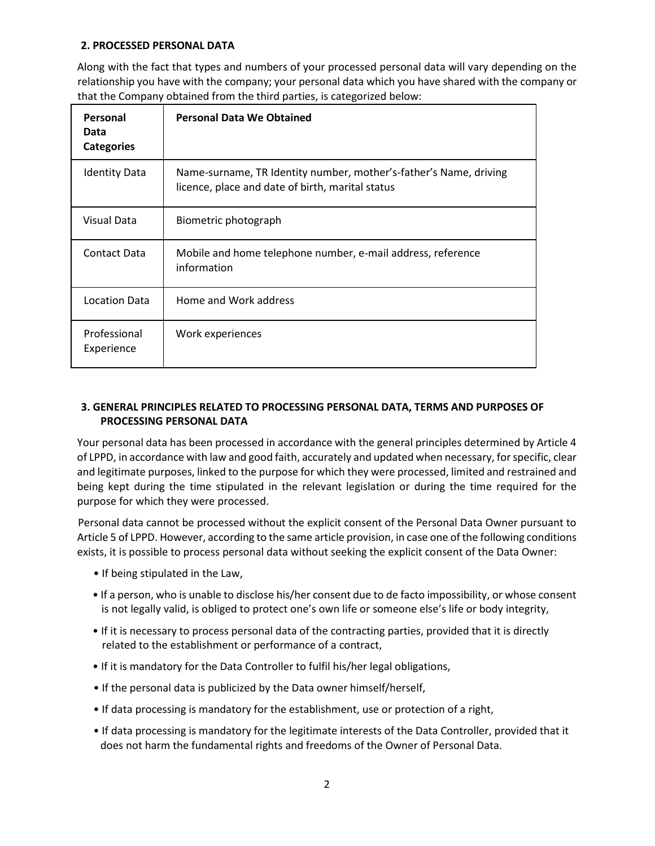# **2. PROCESSED PERSONAL DATA**

Along with the fact that types and numbers of your processed personal data will vary depending on the relationship you have with the company; your personal data which you have shared with the company or that the Company obtained from the third parties, is categorized below:

| Personal<br>Data<br><b>Categories</b> | <b>Personal Data We Obtained</b>                                                                                      |
|---------------------------------------|-----------------------------------------------------------------------------------------------------------------------|
| <b>Identity Data</b>                  | Name-surname, TR Identity number, mother's-father's Name, driving<br>licence, place and date of birth, marital status |
| Visual Data                           | Biometric photograph                                                                                                  |
| Contact Data                          | Mobile and home telephone number, e-mail address, reference<br>information                                            |
| Location Data                         | Home and Work address                                                                                                 |
| Professional<br>Experience            | Work experiences                                                                                                      |

# **3. GENERAL PRINCIPLES RELATED TO PROCESSING PERSONAL DATA, TERMS AND PURPOSES OF PROCESSING PERSONAL DATA**

Your personal data has been processed in accordance with the general principles determined by Article 4 of LPPD, in accordance with law and good faith, accurately and updated when necessary, for specific, clear and legitimate purposes, linked to the purpose for which they were processed, limited and restrained and being kept during the time stipulated in the relevant legislation or during the time required for the purpose for which they were processed.

Personal data cannot be processed without the explicit consent of the Personal Data Owner pursuant to Article 5 of LPPD. However, according to the same article provision, in case one of the following conditions exists, it is possible to process personal data without seeking the explicit consent of the Data Owner:

- If being stipulated in the Law,
- If a person, who is unable to disclose his/her consent due to de facto impossibility, or whose consent is not legally valid, is obliged to protect one's own life or someone else's life or body integrity,
- If it is necessary to process personal data of the contracting parties, provided that it is directly related to the establishment or performance of a contract,
- If it is mandatory for the Data Controller to fulfil his/her legal obligations,
- If the personal data is publicized by the Data owner himself/herself,
- If data processing is mandatory for the establishment, use or protection of a right,
- If data processing is mandatory for the legitimate interests of the Data Controller, provided that it does not harm the fundamental rights and freedoms of the Owner of Personal Data.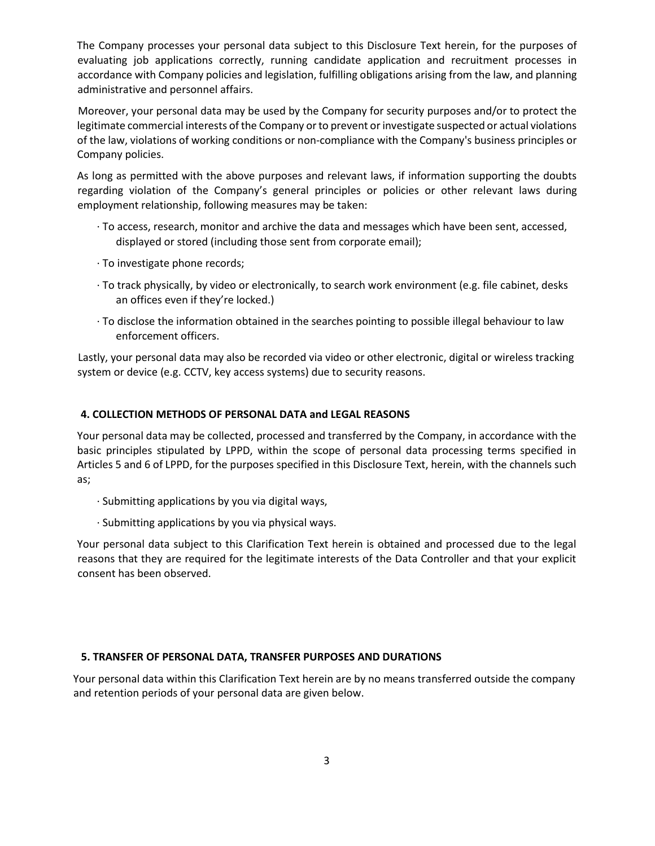The Company processes your personal data subject to this Disclosure Text herein, for the purposes of evaluating job applications correctly, running candidate application and recruitment processes in accordance with Company policies and legislation, fulfilling obligations arising from the law, and planning administrative and personnel affairs.

Moreover, your personal data may be used by the Company for security purposes and/or to protect the legitimate commercial interests of the Company or to prevent or investigate suspected or actual violations of the law, violations of working conditions or non-compliance with the Company's business principles or Company policies.

As long as permitted with the above purposes and relevant laws, if information supporting the doubts regarding violation of the Company's general principles or policies or other relevant laws during employment relationship, following measures may be taken:

- ∙ To access, research, monitor and archive the data and messages which have been sent, accessed, displayed or stored (including those sent from corporate email);
- ∙ To investigate phone records;
- ∙ To track physically, by video or electronically, to search work environment (e.g. file cabinet, desks an offices even if they're locked.)
- ∙ To disclose the information obtained in the searches pointing to possible illegal behaviour to law enforcement officers.

Lastly, your personal data may also be recorded via video or other electronic, digital or wireless tracking system or device (e.g. CCTV, key access systems) due to security reasons.

#### **4. COLLECTION METHODS OF PERSONAL DATA and LEGAL REASONS**

Your personal data may be collected, processed and transferred by the Company, in accordance with the basic principles stipulated by LPPD, within the scope of personal data processing terms specified in Articles 5 and 6 of LPPD, for the purposes specified in this Disclosure Text, herein, with the channels such as;

- ∙ Submitting applications by you via digital ways,
- ∙ Submitting applications by you via physical ways.

Your personal data subject to this Clarification Text herein is obtained and processed due to the legal reasons that they are required for the legitimate interests of the Data Controller and that your explicit consent has been observed.

#### **5. TRANSFER OF PERSONAL DATA, TRANSFER PURPOSES AND DURATIONS**

Your personal data within this Clarification Text herein are by no means transferred outside the company and retention periods of your personal data are given below.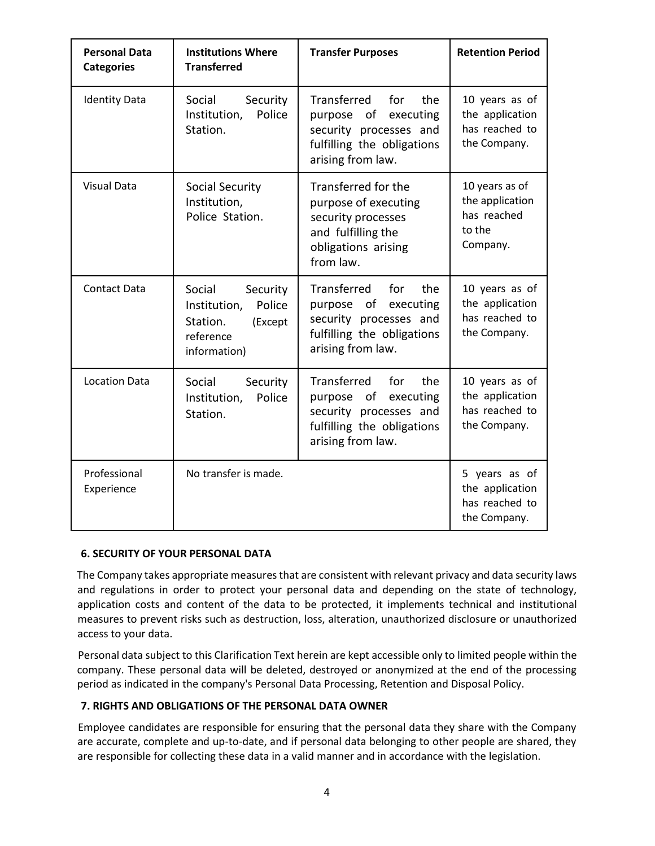| <b>Personal Data</b><br><b>Categories</b> | <b>Institutions Where</b><br><b>Transferred</b>                                                  | <b>Transfer Purposes</b>                                                                                                          | <b>Retention Period</b>                                                |
|-------------------------------------------|--------------------------------------------------------------------------------------------------|-----------------------------------------------------------------------------------------------------------------------------------|------------------------------------------------------------------------|
| <b>Identity Data</b>                      | Social<br>Security<br>Police<br>Institution,<br>Station.                                         | Transferred<br>the<br>for<br>purpose of<br>executing<br>security processes and<br>fulfilling the obligations<br>arising from law. | 10 years as of<br>the application<br>has reached to<br>the Company.    |
| <b>Visual Data</b>                        | Social Security<br>Institution,<br>Police Station.                                               | Transferred for the<br>purpose of executing<br>security processes<br>and fulfilling the<br>obligations arising<br>from law.       | 10 years as of<br>the application<br>has reached<br>to the<br>Company. |
| <b>Contact Data</b>                       | Social<br>Security<br>Police<br>Institution,<br>Station.<br>(Except<br>reference<br>information) | Transferred<br>the<br>for<br>purpose of<br>executing<br>security processes and<br>fulfilling the obligations<br>arising from law. | 10 years as of<br>the application<br>has reached to<br>the Company.    |
| <b>Location Data</b>                      | Social<br>Security<br>Police<br>Institution,<br>Station.                                         | Transferred<br>for<br>the<br>purpose of<br>executing<br>security processes and<br>fulfilling the obligations<br>arising from law. | 10 years as of<br>the application<br>has reached to<br>the Company.    |
| Professional<br>Experience                | No transfer is made.                                                                             |                                                                                                                                   | 5 years as of<br>the application<br>has reached to<br>the Company.     |

# **6. SECURITY OF YOUR PERSONAL DATA**

The Company takes appropriate measures that are consistent with relevant privacy and data security laws and regulations in order to protect your personal data and depending on the state of technology, application costs and content of the data to be protected, it implements technical and institutional measures to prevent risks such as destruction, loss, alteration, unauthorized disclosure or unauthorized access to your data.

Personal data subject to this Clarification Text herein are kept accessible only to limited people within the company. These personal data will be deleted, destroyed or anonymized at the end of the processing period as indicated in the company's Personal Data Processing, Retention and Disposal Policy.

# **7. RIGHTS AND OBLIGATIONS OF THE PERSONAL DATA OWNER**

Employee candidates are responsible for ensuring that the personal data they share with the Company are accurate, complete and up-to-date, and if personal data belonging to other people are shared, they are responsible for collecting these data in a valid manner and in accordance with the legislation.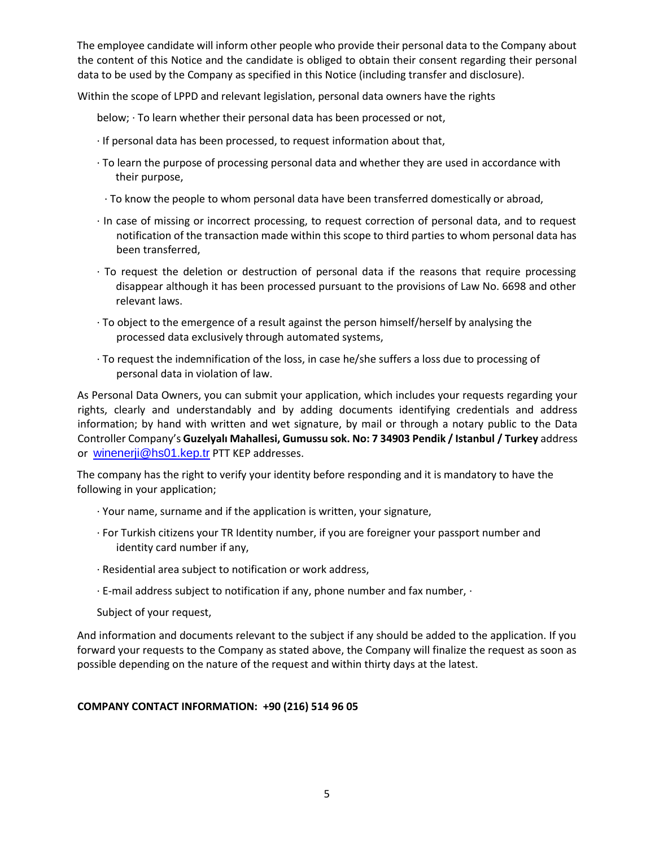The employee candidate will inform other people who provide their personal data to the Company about the content of this Notice and the candidate is obliged to obtain their consent regarding their personal data to be used by the Company as specified in this Notice (including transfer and disclosure).

Within the scope of LPPD and relevant legislation, personal data owners have the rights

below; ∙ To learn whether their personal data has been processed or not,

- ∙ If personal data has been processed, to request information about that,
- ∙ To learn the purpose of processing personal data and whether they are used in accordance with their purpose,
- ∙ To know the people to whom personal data have been transferred domestically or abroad,
- ∙ In case of missing or incorrect processing, to request correction of personal data, and to request notification of the transaction made within this scope to third parties to whom personal data has been transferred,
- ∙ To request the deletion or destruction of personal data if the reasons that require processing disappear although it has been processed pursuant to the provisions of Law No. 6698 and other relevant laws.
- ∙ To object to the emergence of a result against the person himself/herself by analysing the processed data exclusively through automated systems,
- ∙ To request the indemnification of the loss, in case he/she suffers a loss due to processing of personal data in violation of law.

As Personal Data Owners, you can submit your application, which includes your requests regarding your rights, clearly and understandably and by adding documents identifying credentials and address information; by hand with written and wet signature, by mail or through a notary public to the Data Controller Company's **Guzelyalı Mahallesi, Gumussu sok. No: 7 34903 Pendik / Istanbul / Turkey** address or [winenerji@hs01.kep.tr](mailto:winenerji@hs01.kep.tr) PTT KEP addresses.

The company has the right to verify your identity before responding and it is mandatory to have the following in your application;

- ∙ Your name, surname and if the application is written, your signature,
- ∙ For Turkish citizens your TR Identity number, if you are foreigner your passport number and identity card number if any,
- ∙ Residential area subject to notification or work address,
- ∙ E-mail address subject to notification if any, phone number and fax number, ∙

Subject of your request,

And information and documents relevant to the subject if any should be added to the application. If you forward your requests to the Company as stated above, the Company will finalize the request as soon as possible depending on the nature of the request and within thirty days at the latest.

# **COMPANY CONTACT INFORMATION: +90 (216) 514 96 05**